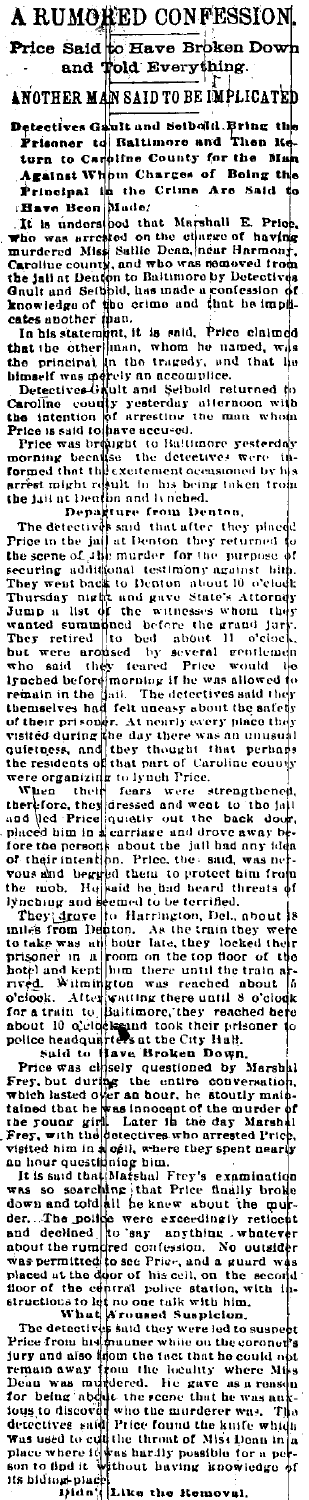**RUMORED CONFESSION** Price Said to Have Broken Dow Told Everything. and

ANOTHER MAN SAID TO BE IMPLICATED

exercives Gablican School and School Prison at The Prison and The Bigger for the Manuscript of the Manuscript of Benedict Apple of Benedict Principal diverse of Being the Principal diverse in the Crime Are Said to Principa iso

Friendral in the Crime Are Said (Figs. 1) and the Crime Are Said (Figs. Inchessed Machine and the subset of the principal increase of the principal distribution of the state of the principal distribution of the state of th  $Pric.$ he imak

d . `վ.,

d to<br>with

Caroline courily resterday attention with<br>the intention of arresting the man whole<br>Price is said to have accused.<br>Price was branched to faiture resterday<br>morning been sixtened to detectives were the<br>formed that this existe

the jail in Dendmark in the the street of probability. The detective stress of the street of the street of the street of the street of the street of the street of the street of the street of the street of the street of th